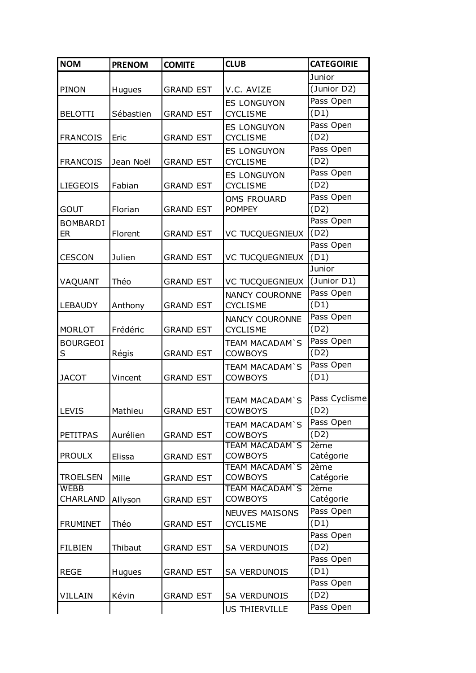| <b>NOM</b>      | <b>PRENOM</b> | <b>COMITE</b>    | <b>CLUB</b>                              | <b>CATEGOIRIE</b> |
|-----------------|---------------|------------------|------------------------------------------|-------------------|
|                 |               |                  |                                          | Junior            |
| PINON           | Hugues        | <b>GRAND EST</b> | V.C. AVIZE                               | (Junior D2)       |
|                 |               |                  | <b>ES LONGUYON</b>                       | Pass Open         |
| <b>BELOTTI</b>  | Sébastien     | <b>GRAND EST</b> | <b>CYCLISME</b>                          | (D1)              |
|                 |               |                  | <b>ES LONGUYON</b>                       | Pass Open         |
| <b>FRANCOIS</b> | Eric          | <b>GRAND EST</b> | <b>CYCLISME</b>                          | (D2)              |
|                 |               |                  | <b>ES LONGUYON</b>                       | Pass Open         |
| <b>FRANCOIS</b> | Jean Noël     | <b>GRAND EST</b> | <b>CYCLISME</b>                          | (D2)              |
|                 |               |                  | <b>ES LONGUYON</b>                       | Pass Open         |
| <b>LIEGEOIS</b> | Fabian        | <b>GRAND EST</b> | <b>CYCLISME</b>                          | (D2)              |
|                 |               |                  |                                          | Pass Open         |
| <b>GOUT</b>     | Florian       | <b>GRAND EST</b> | <b>OMS FROUARD</b><br><b>POMPEY</b>      | (D2)              |
|                 |               |                  |                                          | Pass Open         |
| <b>BOMBARDI</b> |               |                  |                                          | (D2)              |
| ER              | Florent       | <b>GRAND EST</b> | <b>VC TUCQUEGNIEUX</b>                   | Pass Open         |
|                 |               |                  |                                          |                   |
| <b>CESCON</b>   | Julien        | <b>GRAND EST</b> | <b>VC TUCQUEGNIEUX</b>                   | (D1)              |
|                 |               |                  |                                          | Junior            |
| VAQUANT         | Théo          | <b>GRAND EST</b> | <b>VC TUCQUEGNIEUX</b>                   | (Junior D1)       |
|                 |               |                  | <b>NANCY COURONNE</b>                    | Pass Open         |
| LEBAUDY         | Anthony       | <b>GRAND EST</b> | <b>CYCLISME</b>                          | (D1)              |
|                 |               |                  | <b>NANCY COURONNE</b>                    | Pass Open         |
| <b>MORLOT</b>   | Frédéric      | <b>GRAND EST</b> | <b>CYCLISME</b>                          | (D2)              |
| <b>BOURGEOI</b> |               |                  | <b>TEAM MACADAM'S</b>                    | Pass Open         |
| S               | Régis         | <b>GRAND EST</b> | <b>COWBOYS</b>                           | (D2)              |
|                 |               |                  | <b>TEAM MACADAM'S</b>                    | Pass Open         |
| <b>JACOT</b>    | Vincent       | <b>GRAND EST</b> | <b>COWBOYS</b>                           | (D1)              |
|                 |               |                  |                                          |                   |
|                 |               |                  | <b>TEAM MACADAM'S</b>                    | Pass Cyclisme     |
| <b>LEVIS</b>    | Mathieu       | <b>GRAND EST</b> | <b>COWBOYS</b>                           | (D2)              |
|                 |               |                  | <b>TEAM MACADAM'S</b>                    | Pass Open         |
| <b>PETITPAS</b> | Aurélien      | <b>GRAND EST</b> | <b>COWBOYS</b>                           | (D2)              |
|                 |               |                  | <b>TEAM MACADAM'S</b>                    | 2ème              |
| <b>PROULX</b>   | Elissa        | <b>GRAND EST</b> | <b>COWBOYS</b>                           | Catégorie         |
| <b>TROELSEN</b> |               |                  | <b>TEAM MACADAM'S</b><br><b>COWBOYS</b>  | 2ème              |
| WEBB            | Mille         | <b>GRAND EST</b> | <b>TEAM MACADAM'S</b>                    | Catégorie<br>2ème |
| CHARLAND        | Allyson       | <b>GRAND EST</b> | <b>COWBOYS</b>                           | Catégorie         |
|                 |               |                  |                                          | Pass Open         |
| <b>FRUMINET</b> | Théo          | <b>GRAND EST</b> | <b>NEUVES MAISONS</b><br><b>CYCLISME</b> | (D1)              |
|                 |               |                  |                                          |                   |
|                 |               |                  |                                          | Pass Open         |
| <b>FILBIEN</b>  | Thibaut       | <b>GRAND EST</b> | <b>SA VERDUNOIS</b>                      | (D2)              |
|                 |               |                  |                                          | Pass Open         |
| <b>REGE</b>     | <b>Hugues</b> | <b>GRAND EST</b> | <b>SA VERDUNOIS</b>                      | (D1)              |
|                 |               |                  |                                          | Pass Open         |
| <b>VILLAIN</b>  | Kévin         | <b>GRAND EST</b> | <b>SA VERDUNOIS</b>                      | (D2)              |
|                 |               |                  | <b>US THIERVILLE</b>                     | Pass Open         |